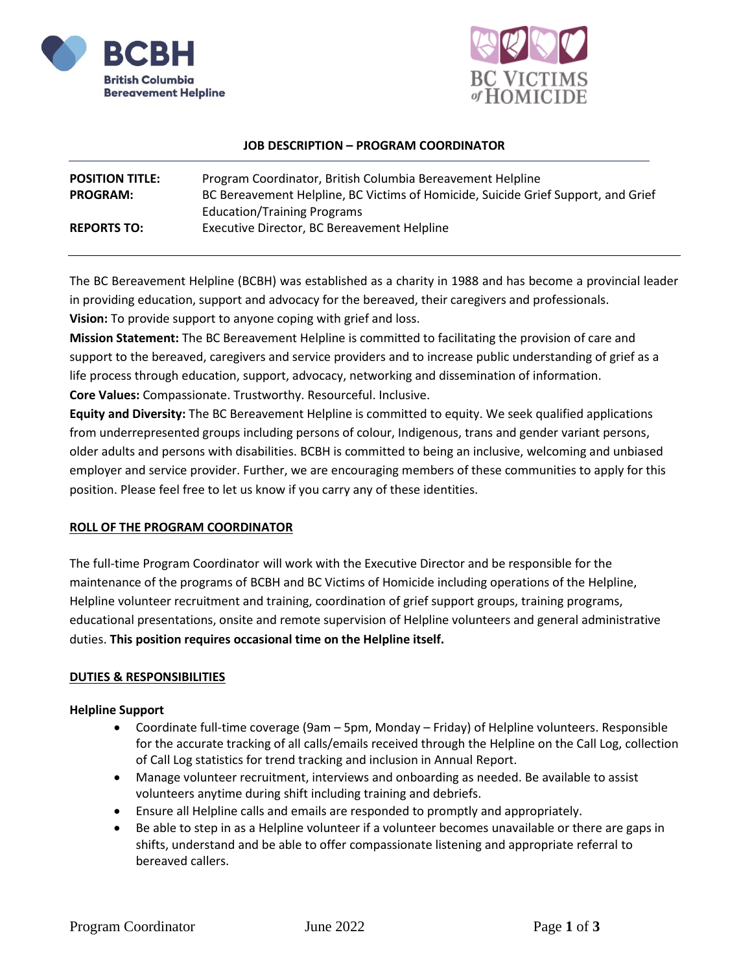



#### **JOB DESCRIPTION – PROGRAM COORDINATOR**

| <b>POSITION TITLE:</b> | Program Coordinator, British Columbia Bereavement Helpline                        |
|------------------------|-----------------------------------------------------------------------------------|
| <b>PROGRAM:</b>        | BC Bereavement Helpline, BC Victims of Homicide, Suicide Grief Support, and Grief |
|                        | <b>Education/Training Programs</b>                                                |
| <b>REPORTS TO:</b>     | Executive Director, BC Bereavement Helpline                                       |
|                        |                                                                                   |

The BC Bereavement Helpline (BCBH) was established as a charity in 1988 and has become a provincial leader in providing education, support and advocacy for the bereaved, their caregivers and professionals. **Vision:** To provide support to anyone coping with grief and loss.

**Mission Statement:** The BC Bereavement Helpline is committed to facilitating the provision of care and support to the bereaved, caregivers and service providers and to increase public understanding of grief as a life process through education, support, advocacy, networking and dissemination of information. **Core Values:** Compassionate. Trustworthy. Resourceful. Inclusive.

**Equity and Diversity:** The BC Bereavement Helpline is committed to equity. We seek qualified applications from underrepresented groups including persons of colour, Indigenous, trans and gender variant persons, older adults and persons with disabilities. BCBH is committed to being an inclusive, welcoming and unbiased employer and service provider. Further, we are encouraging members of these communities to apply for this position. Please feel free to let us know if you carry any of these identities.

# **ROLL OF THE PROGRAM COORDINATOR**

The full-time Program Coordinator will work with the Executive Director and be responsible for the maintenance of the programs of BCBH and BC Victims of Homicide including operations of the Helpline, Helpline volunteer recruitment and training, coordination of grief support groups, training programs, educational presentations, onsite and remote supervision of Helpline volunteers and general administrative duties. **This position requires occasional time on the Helpline itself.**

### **DUTIES & RESPONSIBILITIES**

### **Helpline Support**

- Coordinate full-time coverage (9am 5pm, Monday Friday) of Helpline volunteers. Responsible for the accurate tracking of all calls/emails received through the Helpline on the Call Log, collection of Call Log statistics for trend tracking and inclusion in Annual Report.
- Manage volunteer recruitment, interviews and onboarding as needed. Be available to assist volunteers anytime during shift including training and debriefs.
- Ensure all Helpline calls and emails are responded to promptly and appropriately.
- Be able to step in as a Helpline volunteer if a volunteer becomes unavailable or there are gaps in shifts, understand and be able to offer compassionate listening and appropriate referral to bereaved callers.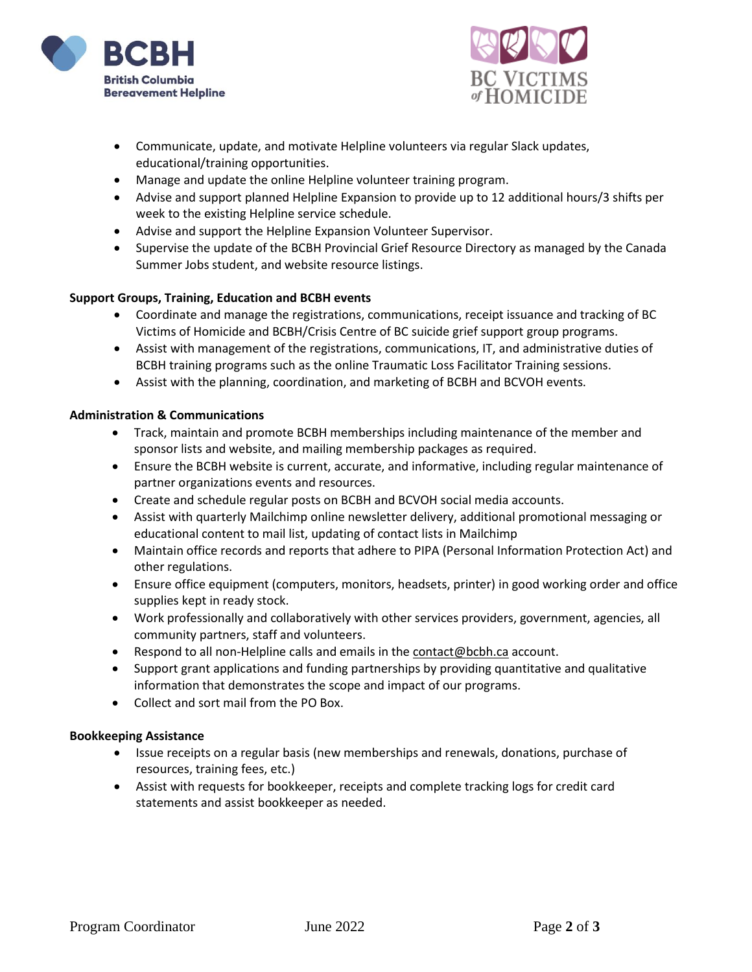



- Communicate, update, and motivate Helpline volunteers via regular Slack updates, educational/training opportunities.
- Manage and update the online Helpline volunteer training program.
- Advise and support planned Helpline Expansion to provide up to 12 additional hours/3 shifts per week to the existing Helpline service schedule.
- Advise and support the Helpline Expansion Volunteer Supervisor.
- Supervise the update of the BCBH Provincial Grief Resource Directory as managed by the Canada Summer Jobs student, and website resource listings.

### **Support Groups, Training, Education and BCBH events**

- Coordinate and manage the registrations, communications, receipt issuance and tracking of BC Victims of Homicide and BCBH/Crisis Centre of BC suicide grief support group programs.
- Assist with management of the registrations, communications, IT, and administrative duties of BCBH training programs such as the online Traumatic Loss Facilitator Training sessions.
- Assist with the planning, coordination, and marketing of BCBH and BCVOH events.

### **Administration & Communications**

- Track, maintain and promote BCBH memberships including maintenance of the member and sponsor lists and website, and mailing membership packages as required.
- Ensure the BCBH website is current, accurate, and informative, including regular maintenance of partner organizations events and resources.
- Create and schedule regular posts on BCBH and BCVOH social media accounts.
- Assist with quarterly Mailchimp online newsletter delivery, additional promotional messaging or educational content to mail list, updating of contact lists in Mailchimp
- Maintain office records and reports that adhere to PIPA (Personal Information Protection Act) and other regulations.
- Ensure office equipment (computers, monitors, headsets, printer) in good working order and office supplies kept in ready stock.
- Work professionally and collaboratively with other services providers, government, agencies, all community partners, staff and volunteers.
- Respond to all non-Helpline calls and emails in the [contact@bcbh.ca](mailto:contact@bcbh.ca) account.
- Support grant applications and funding partnerships by providing quantitative and qualitative information that demonstrates the scope and impact of our programs.
- Collect and sort mail from the PO Box.

### **Bookkeeping Assistance**

- Issue receipts on a regular basis (new memberships and renewals, donations, purchase of resources, training fees, etc.)
- Assist with requests for bookkeeper, receipts and complete tracking logs for credit card statements and assist bookkeeper as needed.